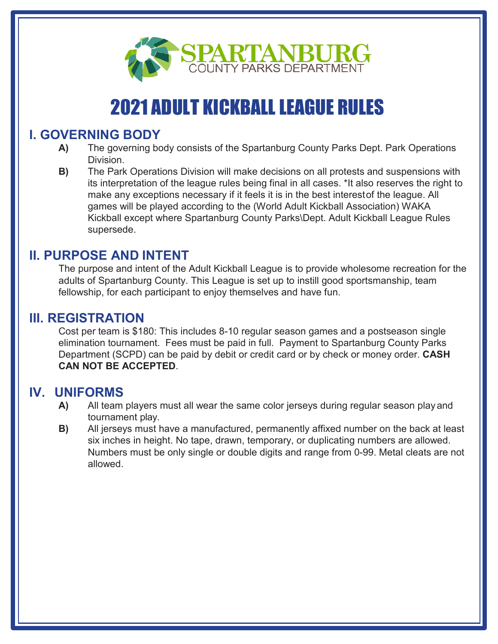

# **2021 ADULT KICKBALL LEAGUE RULES**

### **I. GOVERNING BODY**

- **A)** The governing body consists of the Spartanburg County Parks Dept. Park Operations Division.
- **B)** The Park Operations Division will make decisions on all protests and suspensions with its interpretation of the league rules being final in all cases. \*It also reserves the right to make any exceptions necessary if it feels it is in the best interestof the league. All games will be played according to the (World Adult Kickball Association) WAKA Kickball except where Spartanburg County Parks\Dept. Adult Kickball League Rules supersede.

### **II. PURPOSE AND INTENT**

The purpose and intent of the Adult Kickball League is to provide wholesome recreation for the adults of Spartanburg County. This League is set up to instill good sportsmanship, team fellowship, for each participant to enjoy themselves and have fun.

### **III. REGISTRATION**

Cost per team is \$180: This includes 8-10 regular season games and a postseason single elimination tournament. Fees must be paid in full. Payment to Spartanburg County Parks Department (SCPD) can be paid by debit or credit card or by check or money order. **CASH CAN NOT BE ACCEPTED**.

#### **IV. UNIFORMS**

- **A)** All team players must all wear the same color jerseys during regular season playand tournament play.
- **B)** All jerseys must have a manufactured, permanently affixed number on the back at least six inches in height. No tape, drawn, temporary, or duplicating numbers are allowed. Numbers must be only single or double digits and range from 0-99. Metal cleats are not allowed.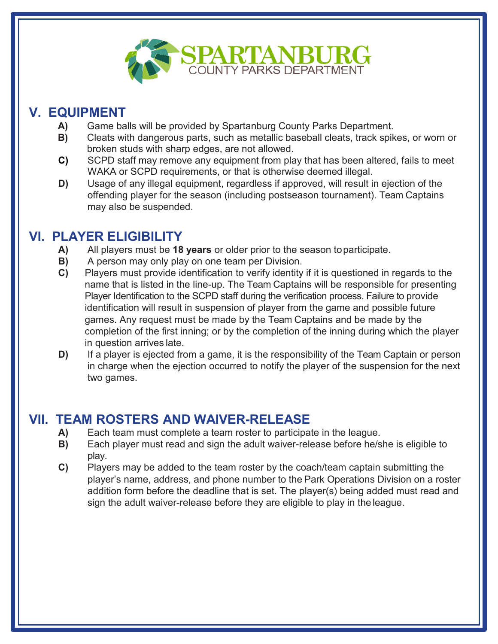

# **V. EQUIPMENT**

- **A)** Game balls will be provided by Spartanburg County Parks Department.
- **B)** Cleats with dangerous parts, such as metallic baseball cleats, track spikes, or worn or broken studs with sharp edges, are not allowed.
- **C)** SCPD staff may remove any equipment from play that has been altered, fails to meet WAKA or SCPD requirements, or that is otherwise deemed illegal.
- **D)** Usage of any illegal equipment, regardless if approved, will result in ejection of the offending player for the season (including postseason tournament). Team Captains may also be suspended.

### **VI. PLAYER ELIGIBILITY**

- **A)** All players must be **18 years** or older prior to the season toparticipate.
- **B)** A person may only play on one team per Division.
- **C)** Players must provide identification to verify identity if it is questioned in regards to the name that is listed in the line-up. The Team Captains will be responsible for presenting Player Identification to the SCPD staff during the verification process. Failure to provide identification will result in suspension of player from the game and possible future games. Any request must be made by the Team Captains and be made by the completion of the first inning; or by the completion of the inning during which the player in question arrives late.
- **D)** If a player is ejected from a game, it is the responsibility of the Team Captain or person in charge when the ejection occurred to notify the player of the suspension for the next two games.

## **VII. TEAM ROSTERS AND WAIVER-RELEASE**

- **A)** Each team must complete a team roster to participate in the league.
- **B)** Each player must read and sign the adult waiver-release before he/she is eligible to play.
- **C)** Players may be added to the team roster by the coach/team captain submitting the player's name, address, and phone number to the Park Operations Division on a roster addition form before the deadline that is set. The player(s) being added must read and sign the adult waiver-release before they are eligible to play in the league.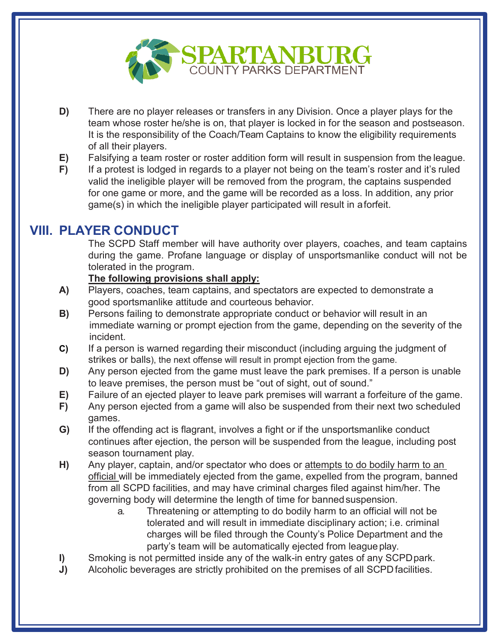

- **D)** There are no player releases or transfers in any Division. Once a player plays for the team whose roster he/she is on, that player is locked in for the season and postseason. It is the responsibility of the Coach/Team Captains to know the eligibility requirements of all their players.
- **E)** Falsifying a team roster or roster addition form will result in suspension from the league.
- **F)** If a protest is lodged in regards to a player not being on the team's roster and it's ruled valid the ineligible player will be removed from the program, the captains suspended for one game or more, and the game will be recorded as a loss. In addition, any prior game(s) in which the ineligible player participated will result in aforfeit.

## **VIII. PLAYER CONDUCT**

The SCPD Staff member will have authority over players, coaches, and team captains during the game. Profane language or display of unsportsmanlike conduct will not be tolerated in the program.

#### **The following provisions shall apply:**

- **A)** Players, coaches, team captains, and spectators are expected to demonstrate a good sportsmanlike attitude and courteous behavior.
- **B)** Persons failing to demonstrate appropriate conduct or behavior will result in an immediate warning or prompt ejection from the game, depending on the severity of the incident.
- **C)** If a person is warned regarding their misconduct (including arguing the judgment of strikes or balls), the next offense will result in prompt ejection from the game.
- **D)** Any person ejected from the game must leave the park premises. If a person is unable to leave premises, the person must be "out of sight, out of sound."
- **E)** Failure of an ejected player to leave park premises will warrant a forfeiture of the game.
- **F)** Any person ejected from a game will also be suspended from their next two scheduled games.
- **G)** If the offending act is flagrant, involves a fight or if the unsportsmanlike conduct continues after ejection, the person will be suspended from the league, including post season tournament play.
- H) Any player, captain, and/or spectator who does or attempts to do bodily harm to an official will be immediately ejected from the game, expelled from the program, banned from all SCPD facilities, and may have criminal charges filed against him/her. The governing body will determine the length of time for banned suspension.
	- a. Threatening or attempting to do bodily harm to an official will not be tolerated and will result in immediate disciplinary action; i.e. criminal charges will be filed through the County's Police Department and the party's team will be automatically ejected from league play.
- **I)** Smoking is not permitted inside any of the walk-in entry gates of any SCPDpark.
- **J)** Alcoholic beverages are strictly prohibited on the premises of all SCPD facilities.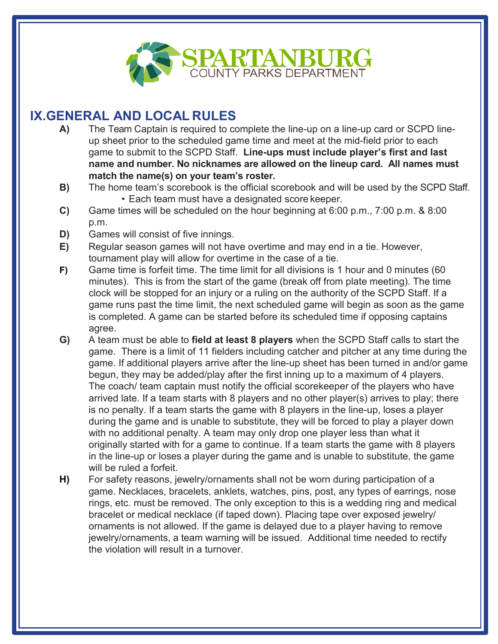

# **IX.GENERAL AND LOCAL RULES**

- **A)** The Team Captain is required to complete the line-up on a line-up card or SCPD lineup sheet prior to the scheduled game time and meet at the mid-field prior to each game to submit to the SCPD Staff. **Line-ups must include player's first and last name and number. No nicknames are allowed on the lineup card. All names must match the name(s) on your team's roster.**
- **B)** The home team's scorebook is the official scorebook and will be used by the SCPD Staff. • Each team must have a designated score keeper.
- **C)** Game times will be scheduled on the hour beginning at 6:00 p.m., 7:00 p.m. & 8:00 p.m.
- **D)** Games will consist of five innings.
- **E)** Regular season games will not have overtime and may end in a tie. However, tournament play will allow for overtime in the case of a tie.
- **F)** Game time is forfeit time. The time limit for all divisions is 1 hour and 0 minutes (60 minutes). This is from the start of the game (break off from plate meeting). The time clock will be stopped for an injury or a ruling on the authority of the SCPD Staff. If a game runs past the time limit, the next scheduled game will begin as soon as the game is completed. A game can be started before its scheduled time if opposing captains agree.
- **G)** A team must be able to **field at least 8 players** when the SCPD Staff calls to start the game. There is a limit of 11 fielders including catcher and pitcher at any time during the game. If additional players arrive after the line-up sheet has been turned in and/or game begun, they may be added/play after the first inning up to a maximum of 4 players. The coach/ team captain must notify the official scorekeeper of the players who have arrived late. If a team starts with 8 players and no other player(s) arrives to play; there is no penalty. If a team starts the game with 8 players in the line-up, loses a player during the game and is unable to substitute, they will be forced to play a player down with no additional penalty. A team may only drop one player less than what it originally started with for a game to continue. If a team starts the game with 8 players in the line-up or loses a player during the game and is unable to substitute, the game will be ruled a forfeit.
- **H)** For safety reasons, jewelry/ornaments shall not be worn during participation of a game. Necklaces, bracelets, anklets, watches, pins, post, any types of earrings, nose rings, etc. must be removed. The only exception to this is a wedding ring and medical bracelet or medical necklace (if taped down). Placing tape over exposed jewelry/ ornaments is not allowed. If the game is delayed due to a player having to remove jewelry/ornaments, a team warning will be issued. Additional time needed to rectify the violation will result in a turnover.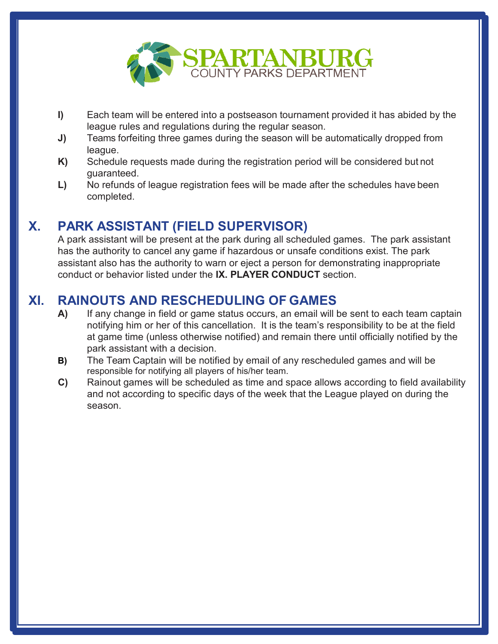

- **I)** Each team will be entered into a postseason tournament provided it has abided by the league rules and regulations during the regular season.
- **J)** Teams forfeiting three games during the season will be automatically dropped from league.
- **K)** Schedule requests made during the registration period will be considered but not guaranteed.
- **L)** No refunds of league registration fees will be made after the schedules have been completed.

#### **X. PARK ASSISTANT (FIELD SUPERVISOR)**

A park assistant will be present at the park during all scheduled games. The park assistant has the authority to cancel any game if hazardous or unsafe conditions exist. The park assistant also has the authority to warn or eject a person for demonstrating inappropriate conduct or behavior listed under the **IX. PLAYER CONDUCT** section.

# **XI. RAINOUTS AND RESCHEDULING OF GAMES**

- **A)** If any change in field or game status occurs, an email will be sent to each team captain notifying him or her of this cancellation. It is the team's responsibility to be at the field at game time (unless otherwise notified) and remain there until officially notified by the park assistant with a decision.
- **B)** The Team Captain will be notified by email of any rescheduled games and will be responsible for notifying all players of his/her team.
- **C)** Rainout games will be scheduled as time and space allows according to field availability and not according to specific days of the week that the League played on during the season.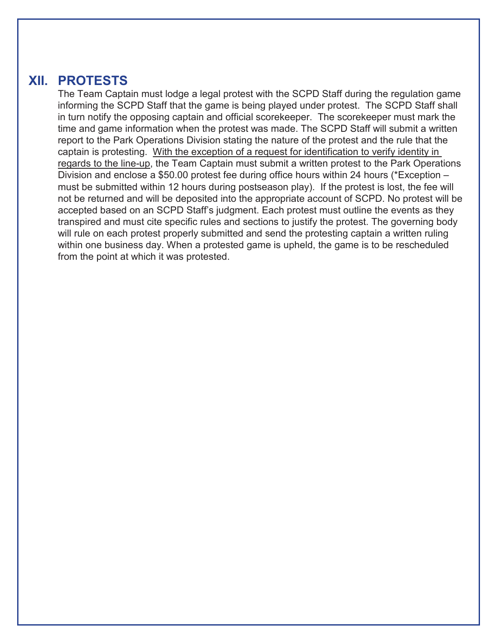#### **XII. PROTESTS**

The Team Captain must lodge a legal protest with the SCPD Staff during the regulation game informing the SCPD Staff that the game is being played under protest. The SCPD Staff shall in turn notify the opposing captain and official scorekeeper. The scorekeeper must mark the time and game information when the protest was made. The SCPD Staff will submit a written report to the Park Operations Division stating the nature of the protest and the rule that the captain is protesting. With the exception of a request for identification to verify identity in regards to the line-up, the Team Captain must submit a written protest to the Park Operations Division and enclose a \$50.00 protest fee during office hours within 24 hours (\*Exception – must be submitted within 12 hours during postseason play). If the protest is lost, the fee will not be returned and will be deposited into the appropriate account of SCPD. No protest will be accepted based on an SCPD Staff's judgment. Each protest must outline the events as they transpired and must cite specific rules and sections to justify the protest. The governing body will rule on each protest properly submitted and send the protesting captain a written ruling within one business day. When a protested game is upheld, the game is to be rescheduled from the point at which it was protested.